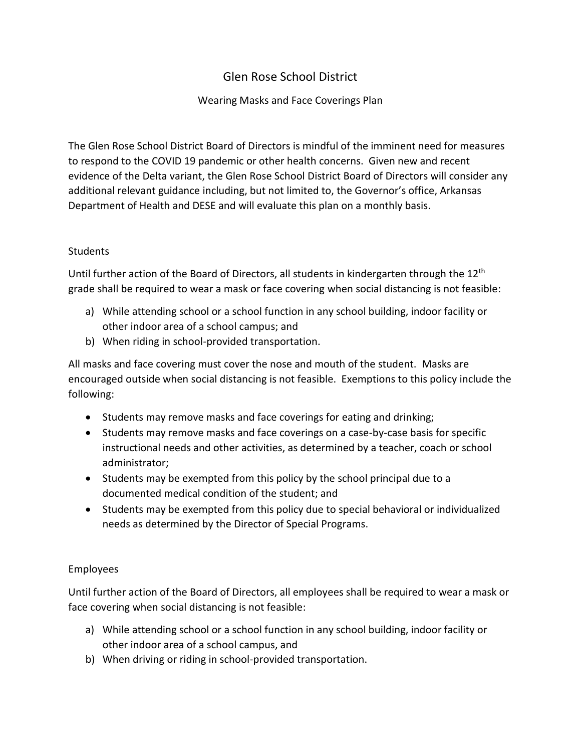# Glen Rose School District

## Wearing Masks and Face Coverings Plan

The Glen Rose School District Board of Directors is mindful of the imminent need for measures to respond to the COVID 19 pandemic or other health concerns. Given new and recent evidence of the Delta variant, the Glen Rose School District Board of Directors will consider any additional relevant guidance including, but not limited to, the Governor's office, Arkansas Department of Health and DESE and will evaluate this plan on a monthly basis.

### **Students**

Until further action of the Board of Directors, all students in kindergarten through the 12<sup>th</sup> grade shall be required to wear a mask or face covering when social distancing is not feasible:

- a) While attending school or a school function in any school building, indoor facility or other indoor area of a school campus; and
- b) When riding in school-provided transportation.

All masks and face covering must cover the nose and mouth of the student. Masks are encouraged outside when social distancing is not feasible. Exemptions to this policy include the following:

- Students may remove masks and face coverings for eating and drinking;
- Students may remove masks and face coverings on a case-by-case basis for specific instructional needs and other activities, as determined by a teacher, coach or school administrator;
- Students may be exempted from this policy by the school principal due to a documented medical condition of the student; and
- Students may be exempted from this policy due to special behavioral or individualized needs as determined by the Director of Special Programs.

### Employees

Until further action of the Board of Directors, all employees shall be required to wear a mask or face covering when social distancing is not feasible:

- a) While attending school or a school function in any school building, indoor facility or other indoor area of a school campus, and
- b) When driving or riding in school-provided transportation.